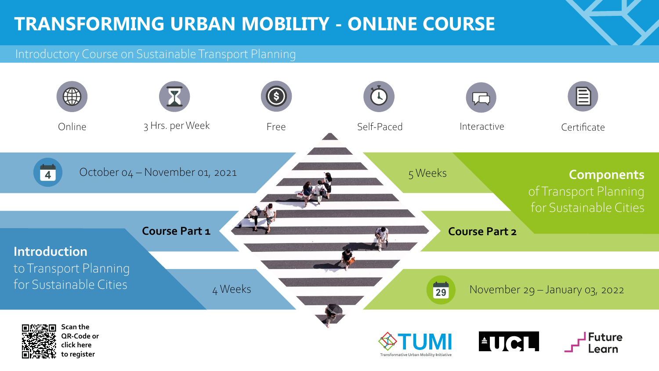## **TRANSFORMING URBAN MOBILITY - ONLINE COURSE**

## Introductory Course on Sustainable Transport Planning





**[to register](https://www.futurelearn.com/courses/introducing-sustainable-urban-mobility )**

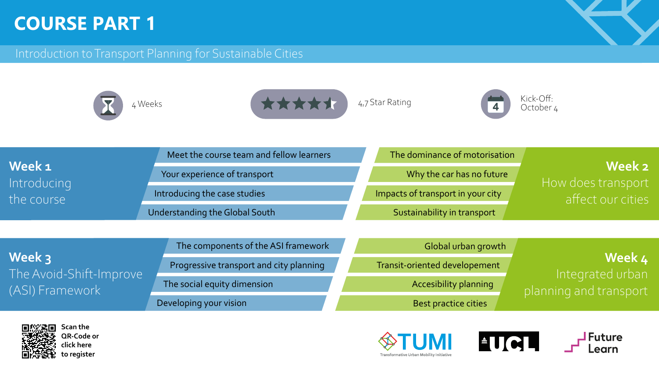**Week 1** Introducing the course

### Introduction to Transport Planning for Sustainable Cities



## **COURSE PART 1**

Meet the course team and fellow learners

Your experience of transport

Introducing the case studies

**Week 3** The Avoid-Shift-Improve (ASI) Framework

The components of the ASI framework

**Scan the QR-Code to register [Scan the](https://www.futurelearn.com/courses/introducing-sustainable-urban-mobility )  [QR-Code or](https://www.futurelearn.com/courses/introducing-sustainable-urban-mobility ) [click here](https://www.futurelearn.com/courses/introducing-sustainable-urban-mobility )  [to register](https://www.futurelearn.com/courses/introducing-sustainable-urban-mobility )**









Progressive transport and city planning



The social equity dimension

Understanding the Global South

Developing your vision

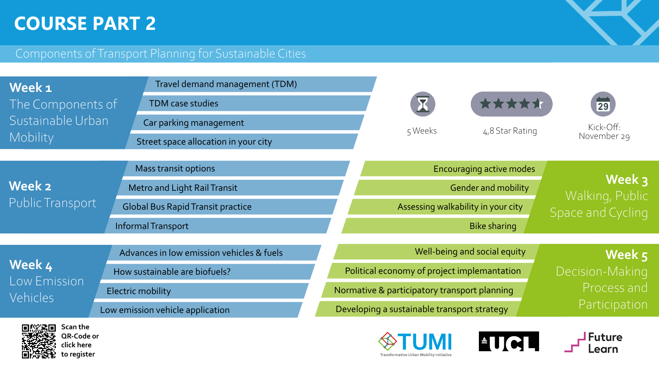## **COURSE PART 2**

### Components of Transport Planning for Sustainable Cities













**Scan the QR-Code to register [QR-Code or](https://www.futurelearn.com/courses/introducing-sustainable-urban-mobility ) [click here](https://www.futurelearn.com/courses/introducing-sustainable-urban-mobility )  [to register](https://www.futurelearn.com/courses/introducing-sustainable-urban-mobility )**

| Week 1                             | Travel demand management (TDM)            |
|------------------------------------|-------------------------------------------|
| The Components of                  | <b>TDM case studies</b>                   |
| Sustainable Urban                  | Car parking management                    |
| Mobility                           | Street space allocation in your city      |
| <b>Week 2</b><br>Public Transport  | <b>Mass transit options</b>               |
|                                    | <b>Metro and Light Rail Transit</b>       |
|                                    | <b>Global Bus Rapid Transit practice</b>  |
|                                    | Informal Transport                        |
|                                    |                                           |
| Week 4<br>Low Emission<br>Vehicles | Advances in low emission vehicles & fuels |
|                                    | How sustainable are biofuels?             |
|                                    | <b>Electric mobility</b>                  |
|                                    | Low emission vehicle application          |
| Scan the                           |                                           |